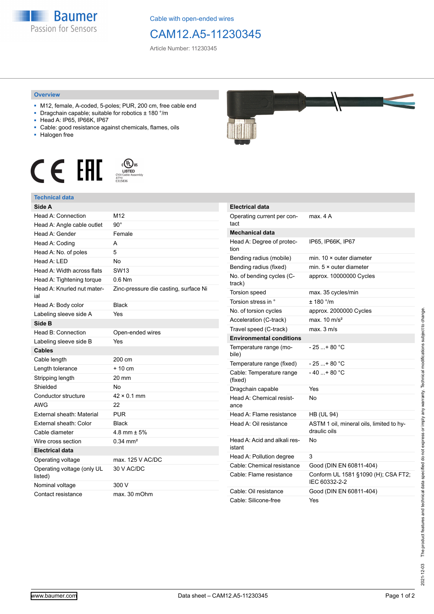

Cable with open-ended wires

## CAM12.A5-11230345

Article Number: 11230345

## **Overview**

- M12, female, A-coded, 5-poles; PUR, 200 cm, free cable end
- Dragchain capable; suitable for robotics ± 180 °/m
- Head A: IP65, IP66K, IP67
- Cable: good resistance against chemicals, flames, oils
- Halogen free





## **Technical data**

| Side A                                |                                       |
|---------------------------------------|---------------------------------------|
| Head A: Connection                    | M12                                   |
| Head A: Angle cable outlet            | $90^{\circ}$                          |
| Head A: Gender                        | Female                                |
| Head A: Coding                        | A                                     |
| Head A: No. of poles                  | 5                                     |
| Head A: LED                           | <b>No</b>                             |
| Head A: Width across flats            | SW <sub>13</sub>                      |
| Head A: Tightening torque             | $0.6$ Nm                              |
| Head A: Knurled nut mater-<br>ial     | Zinc-pressure die casting, surface Ni |
| Head A: Body color                    | <b>Black</b>                          |
| Labeling sleeve side A                | Yes                                   |
| Side B                                |                                       |
| Head B: Connection                    | Open-ended wires                      |
| Labeling sleeve side B                | Yes                                   |
| <b>Cables</b>                         |                                       |
| Cable length                          | 200 cm                                |
| Length tolerance                      | $+10 \text{ cm}$                      |
| Stripping length                      | 20 mm                                 |
| Shielded                              | No                                    |
| Conductor structure                   | $42 \times 0.1$ mm                    |
| <b>AWG</b>                            | 22                                    |
| External sheath: Material             | <b>PUR</b>                            |
| External sheath: Color                | <b>Black</b>                          |
| Cable diameter                        | 4.8 mm $\pm$ 5%                       |
| Wire cross section                    | $0.34 \text{ mm}^2$                   |
| <b>Electrical data</b>                |                                       |
| Operating voltage                     | max. 125 V AC/DC                      |
| Operating voltage (only UL<br>listed) | 30 V AC/DC                            |
| Nominal voltage                       | 300 V                                 |
| Contact resistance                    | max. 30 mOhm                          |



| Electrical data                        |                                                          |
|----------------------------------------|----------------------------------------------------------|
| Operating current per con-<br>tact     | max. 4 A                                                 |
| <b>Mechanical data</b>                 |                                                          |
| Head A: Degree of protec-<br>tion      | IP65, IP66K, IP67                                        |
| Bending radius (mobile)                | min. $10 \times$ outer diameter                          |
| Bending radius (fixed)                 | min. $5 \times$ outer diameter                           |
| No. of bending cycles (C-<br>track)    | approx. 10000000 Cycles                                  |
| <b>Torsion speed</b>                   | max. 35 cycles/min                                       |
| Torsion stress in °                    | $± 180$ °/m                                              |
| No. of torsion cycles                  | approx. 2000000 Cycles                                   |
| Acceleration (C-track)                 | max. $10 \text{ m/s}^2$                                  |
| Travel speed (C-track)                 | max. 3 m/s                                               |
| <b>Environmental conditions</b>        |                                                          |
| Temperature range (mo-<br>bile)        | - 25 + 80 °C                                             |
| Temperature range (fixed)              | - 25 + 80 °C                                             |
| Cable: Temperature range<br>(fixed)    | $-40+80 °C$                                              |
| Dragchain capable                      | Yes                                                      |
| Head A: Chemical resist-<br>ance       | No                                                       |
| Head A: Flame resistance               | <b>HB (UL 94)</b>                                        |
| Head A: Oil resistance                 | ASTM 1 oil, mineral oils, limited to hy-<br>draulic oils |
| Head A: Acid and alkali res-<br>istant | No                                                       |
| Head A: Pollution degree               | 3                                                        |
| Cable: Chemical resistance             | Good (DIN EN 60811-404)                                  |
| Cable: Flame resistance                | Conform UL 1581 §1090 (H); CSA FT2;<br>IEC 60332-2-2     |
| Cable: Oil resistance                  | Good (DIN EN 60811-404)                                  |
| Cable: Silicone-free                   | Yes                                                      |